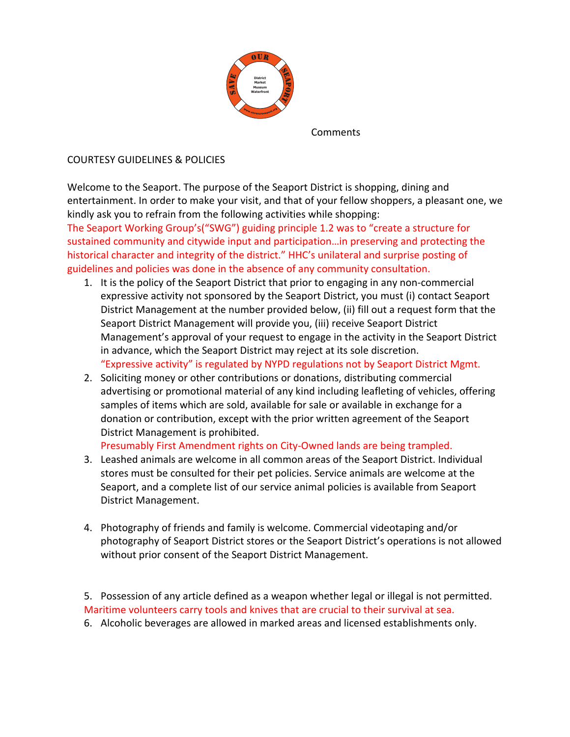

Comments

## COURTESY GUIDELINES & POLICIES

Welcome to the Seaport. The purpose of the Seaport District is shopping, dining and entertainment. In order to make your visit, and that of your fellow shoppers, a pleasant one, we kindly ask you to refrain from the following activities while shopping:

The Seaport Working Group's("SWG") guiding principle 1.2 was to "create a structure for sustained community and citywide input and participation...in preserving and protecting the historical character and integrity of the district." HHC's unilateral and surprise posting of guidelines and policies was done in the absence of any community consultation.

- 1. It is the policy of the Seaport District that prior to engaging in any non-commercial expressive activity not sponsored by the Seaport District, you must (i) contact Seaport District Management at the number provided below, (ii) fill out a request form that the Seaport District Management will provide you, (iii) receive Seaport District Management's approval of your request to engage in the activity in the Seaport District in advance, which the Seaport District may reject at its sole discretion. "Expressive activity" is regulated by NYPD regulations not by Seaport District Mgmt.
- 2. Soliciting money or other contributions or donations, distributing commercial advertising or promotional material of any kind including leafleting of vehicles, offering samples of items which are sold, available for sale or available in exchange for a donation or contribution, except with the prior written agreement of the Seaport District Management is prohibited.

Presumably First Amendment rights on City-Owned lands are being trampled.

- 3. Leashed animals are welcome in all common areas of the Seaport District. Individual stores must be consulted for their pet policies. Service animals are welcome at the Seaport, and a complete list of our service animal policies is available from Seaport District Management.
- 4. Photography of friends and family is welcome. Commercial videotaping and/or photography of Seaport District stores or the Seaport District's operations is not allowed without prior consent of the Seaport District Management.

5. Possession of any article defined as a weapon whether legal or illegal is not permitted. Maritime volunteers carry tools and knives that are crucial to their survival at sea.

6. Alcoholic beverages are allowed in marked areas and licensed establishments only.